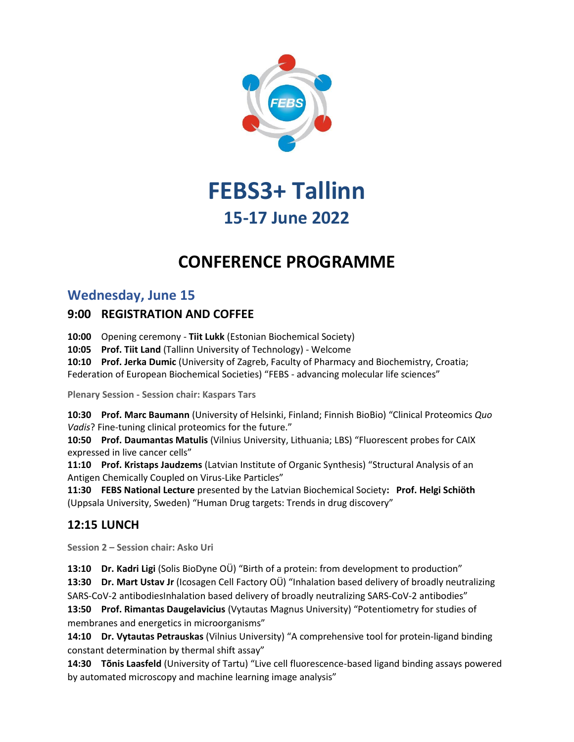

# **FEBS3+ Tallinn 15-17 June 2022**

## **CONFERENCE PROGRAMME**

## **Wednesday, June 15**

### **9:00 REGISTRATION AND COFFEE**

**10:00** Opening ceremony - **Tiit Lukk** (Estonian Biochemical Society)

**10:05 Prof. Tiit Land** (Tallinn University of Technology) - Welcome

**10:10 Prof. Jerka Dumic** (University of Zagreb, Faculty of Pharmacy and Biochemistry, Croatia; Federation of European Biochemical Societies) "FEBS - advancing molecular life sciences"

**Plenary Session - Session chair: Kaspars Tars**

**10:30 Prof. Marc Baumann** (University of Helsinki, Finland; Finnish BioBio) "Clinical Proteomics *Quo Vadis*? Fine-tuning clinical proteomics for the future."

**10:50 Prof. Daumantas Matulis** (Vilnius University, Lithuania; LBS) "Fluorescent probes for CAIX expressed in live cancer cells"

**11:10 Prof. Kristaps Jaudzems** (Latvian Institute of Organic Synthesis) "Structural Analysis of an Antigen Chemically Coupled on Virus-Like Particles"

**11:30 FEBS National Lecture** presented by the Latvian Biochemical Society**: Prof. Helgi Schiöth**  (Uppsala University, Sweden) "Human Drug targets: Trends in drug discovery"

### **12:15 LUNCH**

**Session 2 – Session chair: Asko Uri**

**13:10 Dr. Kadri Ligi** (Solis BioDyne OÜ) "Birth of a protein: from development to production"

**13:30 Dr. Mart Ustav Jr** (Icosagen Cell Factory OÜ) "Inhalation based delivery of broadly neutralizing SARS-CoV-2 antibodiesInhalation based delivery of broadly neutralizing SARS-CoV-2 antibodies"

**13:50 Prof. Rimantas Daugelavicius** (Vytautas Magnus University) "Potentiometry for studies of membranes and energetics in microorganisms"

**14:10 Dr. Vytautas Petrauskas** (Vilnius University) "A comprehensive tool for protein-ligand binding constant determination by thermal shift assay"

**14:30 Tõnis Laasfeld** (University of Tartu) "Live cell fluorescence-based ligand binding assays powered by automated microscopy and machine learning image analysis"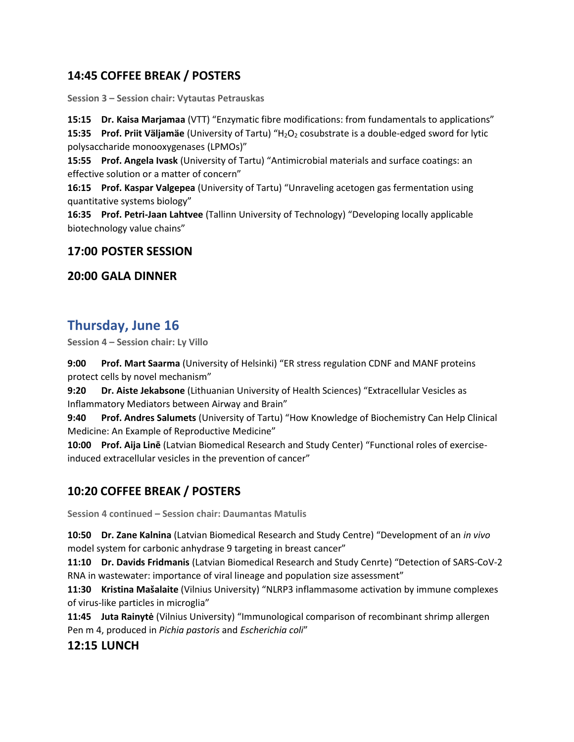## **14:45 COFFEE BREAK / POSTERS**

**Session 3 – Session chair: Vytautas Petrauskas**

**15:15 Dr. Kaisa Marjamaa** (VTT) "Enzymatic fibre modifications: from fundamentals to applications"

**15:35 Prof. Priit Väljamäe** (University of Tartu) "H<sub>2</sub>O<sub>2</sub> cosubstrate is a double-edged sword for lytic polysaccharide monooxygenases (LPMOs)"

**15:55 Prof. Angela Ivask** (University of Tartu) "Antimicrobial materials and surface coatings: an effective solution or a matter of concern"

**16:15 Prof. Kaspar Valgepea** (University of Tartu) "Unraveling acetogen gas fermentation using quantitative systems biology"

**16:35 Prof. Petri-Jaan Lahtvee** (Tallinn University of Technology) "Developing locally applicable biotechnology value chains"

#### **17:00 POSTER SESSION**

#### **20:00 GALA DINNER**

## **Thursday, June 16**

**Session 4 – Session chair: Ly Villo**

**9:00 Prof. Mart Saarma** (University of Helsinki) "ER stress regulation CDNF and MANF proteins protect cells by novel mechanism"

**9:20 Dr. Aiste Jekabsone** (Lithuanian University of Health Sciences) "Extracellular Vesicles as Inflammatory Mediators between Airway and Brain"

**9:40 Prof. Andres Salumets** (University of Tartu) "How Knowledge of Biochemistry Can Help Clinical Medicine: An Example of Reproductive Medicine"

**10:00 Prof. Aija Linē** (Latvian Biomedical Research and Study Center) "Functional roles of exerciseinduced extracellular vesicles in the prevention of cancer"

## **10:20 COFFEE BREAK / POSTERS**

**Session 4 continued – Session chair: Daumantas Matulis**

**10:50 Dr. Zane Kalnina** (Latvian Biomedical Research and Study Centre) "Development of an *in vivo* model system for carbonic anhydrase 9 targeting in breast cancer"

**11:10 Dr. Davids Fridmanis** (Latvian Biomedical Research and Study Cenrte) "Detection of SARS-CoV-2 RNA in wastewater: importance of viral lineage and population size assessment"

**11:30 Kristina Mašalaite** (Vilnius University) "NLRP3 inflammasome activation by immune complexes of virus-like particles in microglia"

**11:45 Juta Rainytė** (Vilnius University) "Immunological comparison of recombinant shrimp allergen Pen m 4, produced in *Pichia pastoris* and *Escherichia coli*"

#### **12:15 LUNCH**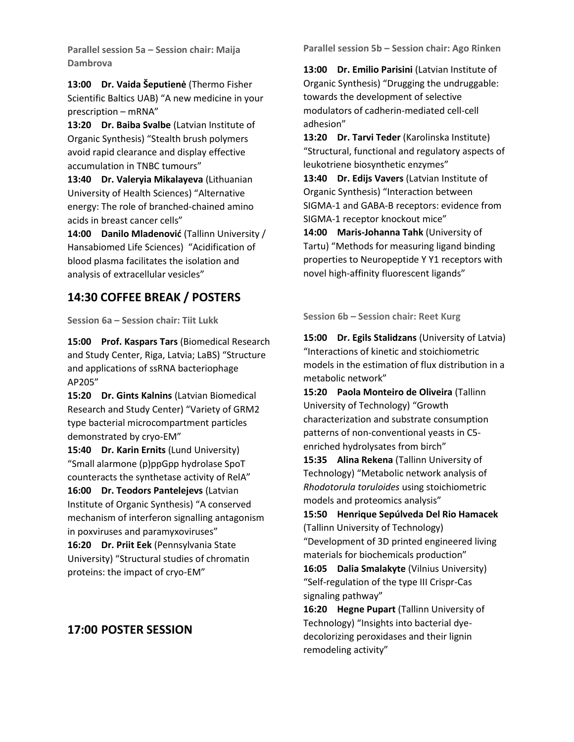**Parallel session 5a – Session chair: Maija Dambrova**

**13:00 Dr. Vaida Šeputienė** (Thermo Fisher Scientific Baltics UAB) "A new medicine in your prescription – mRNA"

**13:20 Dr. Baiba Svalbe** (Latvian Institute of Organic Synthesis) "Stealth brush polymers avoid rapid clearance and display effective accumulation in TNBC tumours"

**13:40 Dr. Valeryia Mikalayeva** (Lithuanian University of Health Sciences) "Alternative energy: The role of branched-chained amino acids in breast cancer cells"

**14:00 Danilo Mladenović** (Tallinn University / Hansabiomed Life Sciences) "Acidification of blood plasma facilitates the isolation and analysis of extracellular vesicles"

### **14:30 COFFEE BREAK / POSTERS**

**Session 6a – Session chair: Tiit Lukk**

**15:00 Prof. Kaspars Tars** (Biomedical Research and Study Center, Riga, Latvia; LaBS) "Structure and applications of ssRNA bacteriophage AP205"

**15:20 Dr. Gints Kalnins** (Latvian Biomedical Research and Study Center) "Variety of GRM2 type bacterial microcompartment particles demonstrated by cryo-EM"

**15:40 Dr. Karin Ernits** (Lund University) "Small alarmone (p)ppGpp hydrolase SpoT counteracts the synthetase activity of RelA"

**16:00 Dr. Teodors Pantelejevs** (Latvian Institute of Organic Synthesis) "A conserved mechanism of interferon signalling antagonism in poxviruses and paramyxoviruses"

**16:20 Dr. Priit Eek** (Pennsylvania State University) "Structural studies of chromatin proteins: the impact of cryo-EM"

## **17:00 POSTER SESSION**

**Parallel session 5b – Session chair: Ago Rinken**

**13:00 Dr. Emilio Parisini** (Latvian Institute of Organic Synthesis) "Drugging the undruggable: towards the development of selective modulators of cadherin-mediated cell-cell adhesion"

**13:20 Dr. Tarvi Teder** (Karolinska Institute) "Structural, functional and regulatory aspects of leukotriene biosynthetic enzymes"

**13:40 Dr. Edijs Vavers** (Latvian Institute of Organic Synthesis) "Interaction between SIGMA-1 and GABA-B receptors: evidence from SIGMA-1 receptor knockout mice"

**14:00 Maris-Johanna Tahk** (University of Tartu) "Methods for measuring ligand binding properties to Neuropeptide Y Y1 receptors with novel high-affinity fluorescent ligands"

**Session 6b – Session chair: Reet Kurg**

**15:00 Dr. Egils Stalidzans** (University of Latvia) "Interactions of kinetic and stoichiometric models in the estimation of flux distribution in a metabolic network"

**15:20 Paola Monteiro de Oliveira** (Tallinn University of Technology) "Growth characterization and substrate consumption patterns of non-conventional yeasts in C5 enriched hydrolysates from birch"

**15:35 Alina Rekena** (Tallinn University of Technology) "Metabolic network analysis of *Rhodotorula toruloides* using stoichiometric models and proteomics analysis"

**15:50 Henrique Sepúlveda Del Rio Hamacek**  (Tallinn University of Technology) "Development of 3D printed engineered living

materials for biochemicals production"

**16:05 Dalia Smalakyte** (Vilnius University) "Self-regulation of the type III Crispr-Cas signaling pathway"

**16:20 Hegne Pupart** (Tallinn University of Technology) "Insights into bacterial dyedecolorizing peroxidases and their lignin remodeling activity"